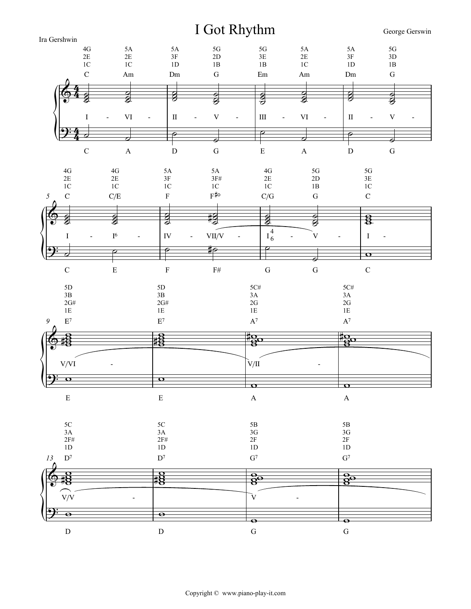